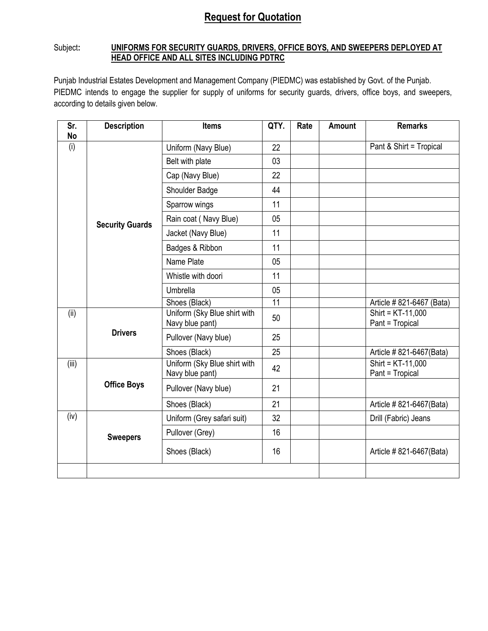## **Request for Quotation**

## Subject: **UNIFORMS FOR SECURITY GUARDS, DRIVERS, OFFICE BOYS, AND SWEEPERS DEPLOYED AT HEAD OFFICE AND ALL SITES INCLUDING PDTRC**

Punjab Industrial Estates Development and Management Company (PIEDMC) was established by Govt. of the Punjab. PIEDMC intends to engage the supplier for supply of uniforms for security guards, drivers, office boys, and sweepers, according to details given below.

| Sr.<br>No | <b>Description</b>     | <b>Items</b>                                    | QTY. | Rate | <b>Amount</b> | <b>Remarks</b>                         |
|-----------|------------------------|-------------------------------------------------|------|------|---------------|----------------------------------------|
| (i)       |                        | Uniform (Navy Blue)                             | 22   |      |               | Pant & Shirt = Tropical                |
|           |                        | Belt with plate                                 | 03   |      |               |                                        |
|           |                        | Cap (Navy Blue)                                 | 22   |      |               |                                        |
|           |                        | Shoulder Badge                                  | 44   |      |               |                                        |
|           |                        | Sparrow wings                                   | 11   |      |               |                                        |
|           | <b>Security Guards</b> | Rain coat (Navy Blue)                           | 05   |      |               |                                        |
|           |                        | Jacket (Navy Blue)                              | 11   |      |               |                                        |
|           |                        | Badges & Ribbon                                 | 11   |      |               |                                        |
|           |                        | Name Plate                                      | 05   |      |               |                                        |
|           |                        | Whistle with doori                              | 11   |      |               |                                        |
|           |                        | Umbrella                                        | 05   |      |               |                                        |
|           |                        | Shoes (Black)                                   | 11   |      |               | Article #821-6467 (Bata)               |
| (ii)      | <b>Drivers</b>         | Uniform (Sky Blue shirt with<br>Navy blue pant) | 50   |      |               | Shirt = KT-11,000<br>Pant = Tropical   |
|           |                        | Pullover (Navy blue)                            | 25   |      |               |                                        |
|           |                        | Shoes (Black)                                   | 25   |      |               | Article #821-6467(Bata)                |
| (iii)     |                        | Uniform (Sky Blue shirt with<br>Navy blue pant) | 42   |      |               | Shirt = $KT-11,000$<br>Pant = Tropical |
|           | <b>Office Boys</b>     | Pullover (Navy blue)                            | 21   |      |               |                                        |
|           |                        | Shoes (Black)                                   | 21   |      |               | Article #821-6467(Bata)                |
| (iv)      |                        | Uniform (Grey safari suit)                      | 32   |      |               | Drill (Fabric) Jeans                   |
|           | <b>Sweepers</b>        | Pullover (Grey)                                 | 16   |      |               |                                        |
|           |                        | Shoes (Black)                                   | 16   |      |               | Article #821-6467(Bata)                |
|           |                        |                                                 |      |      |               |                                        |